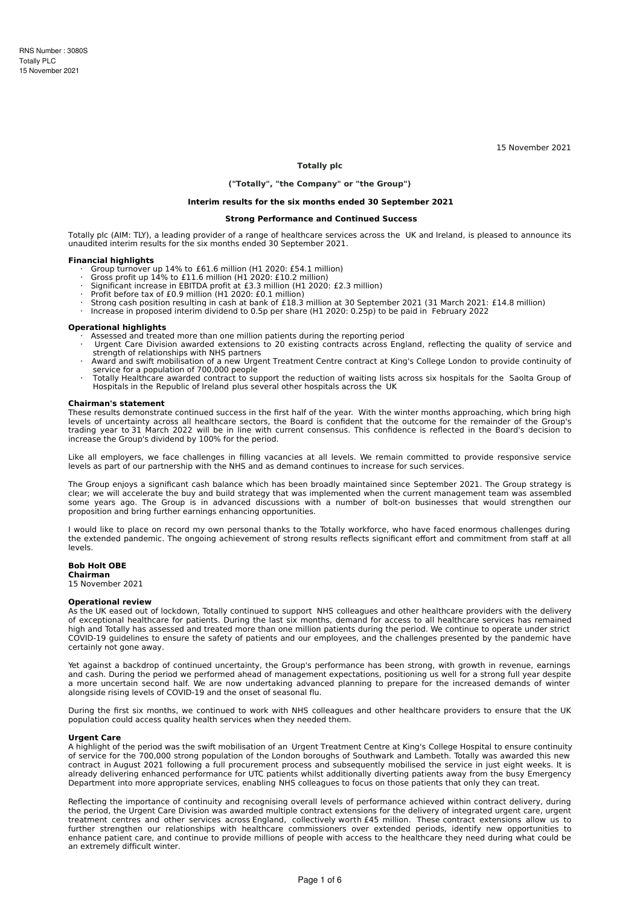15 November 2021

# **Totally plc**

# **("Totally", "the Company" or "the Group")**

## **Interim results for the six months ended 30 September 2021**

#### **Strong Performance and Continued Success**

Totally plc (AIM: TLY), a leading provider of a range of healthcare services across the UK and Ireland, is pleased to announce its unaudited interim results for the six months ended 30 September 2021.

#### **Financial highlights**

- · Group turnover up 14% to £61.6 million (H1 2020: £54.1 million)
- · Gross profit up 14% to £11.6 million (H1 2020: £10.2 million)
- Significant increase in EBITDA profit at £3.3 million (H1 2020: £2.3 million)
- · Profit before tax of £0.9 million (H1 2020: £0.1 million)<br>· Strong cash position resulting in cash at bank of £18.3 million at 30 September 2021 (31 March 2021: £14.8 million)<br>· Increase in proposed interim dividend to 0
- 

### **Operational highlights**

- 
- · Assessed and treated more than one million patients during the reporting period · Urgent Care Division awarded extensions to 20 existing contracts across England, reflecting the quality of service and strength of relationships with NHS partners
- Award and swift mobilisation of a new Urgent Treatment Centre contract at King's College London to provide continuity of
- service for a population of 700,000 people<br>· Totally Healthcare awarded contract to support the reduction of waiting lists across six hospitals for the Saolta Group of<br> Hospitals in the Republic of Ireland plus sever

#### **Chairman's statement**

These results demonstrate continued success in the first half of the year. With the winter months approaching, which bring high levels of uncertainty across all healthcare sectors, the Board is confident that the outcome for the remainder of the Group's trading year to 31 March 2022 will be in line with current consensus. This confidence is reflected in the Board's decision to increase the Group's dividend by 100% for the period.

Like all employers, we face challenges in filling vacancies at all levels. We remain committed to provide responsive service levels as part of our partnership with the NHS and as demand continues to increase for such services.

The Group enjoys a significant cash balance which has been broadly maintained since September 2021. The Group strategy is clear; we will accelerate the buy and build strategy that was implemented when the current management team was assembled some years ago. The Group is in advanced discussions with a number of bolt-on businesses that would strengthen our proposition and bring further earnings enhancing opportunities.

I would like to place on record my own personal thanks to the Totally workforce, who have faced enormous challenges during the extended pandemic. The ongoing achievement of strong results reflects significant effort and commitment from staff at all levels.

## **Bob Holt OBE**

**Chairman**

15 November 2021

#### **Operational review**

As the UK eased out of lockdown, Totally continued to support NHS colleagues and other healthcare providers with the delivery of exceptional healthcare for patients. During the last six months, demand for access to all healthcare services has remained high and Totally has assessed and treated more than one million patients during the period. We continue to operate under strict COVID-19 guidelines to ensure the safety of patients and our employees, and the challenges presented by the pandemic have certainly not gone away.

Yet against a backdrop of continued uncertainty, the Group's performance has been strong, with growth in revenue, earnings and cash. During the period we performed ahead of management expectations, positioning us well for a strong full year despite a more uncertain second half. We are now undertaking advanced planning to prepare for the increased demands of winter alongside rising levels of COVID-19 and the onset of seasonal flu.

During the first six months, we continued to work with NHS colleagues and other healthcare providers to ensure that the UK population could access quality health services when they needed them.

### **Urgent Care**

A highlight of the period was the swift mobilisation of an Urgent Treatment Centre at King's College Hospital to ensure continuity of service for the 700,000 strong population of the London boroughs of Southwark and Lambeth. Totally was awarded this new contract in August 2021 following a full procurement process and subsequently mobilised the service in just eight weeks. It is already delivering enhanced performance for UTC patients whilst additionally diverting patients away from the busy Emergency Department into more appropriate services, enabling NHS colleagues to focus on those patients that only they can treat.

Reflecting the importance of continuity and recognising overall levels of performance achieved within contract delivery, during the period, the Urgent Care Division was awarded multiple contract extensions for the delivery of integrated urgent care, urgent treatment centres and other services across England, collectively worth £45 million. These contract extensions allow us to further strengthen our relationships with healthcare commissioners over extended periods, identify new opportunities to enhance patient care, and continue to provide millions of people with access to the healthcare they need during what could be an extremely difficult winter.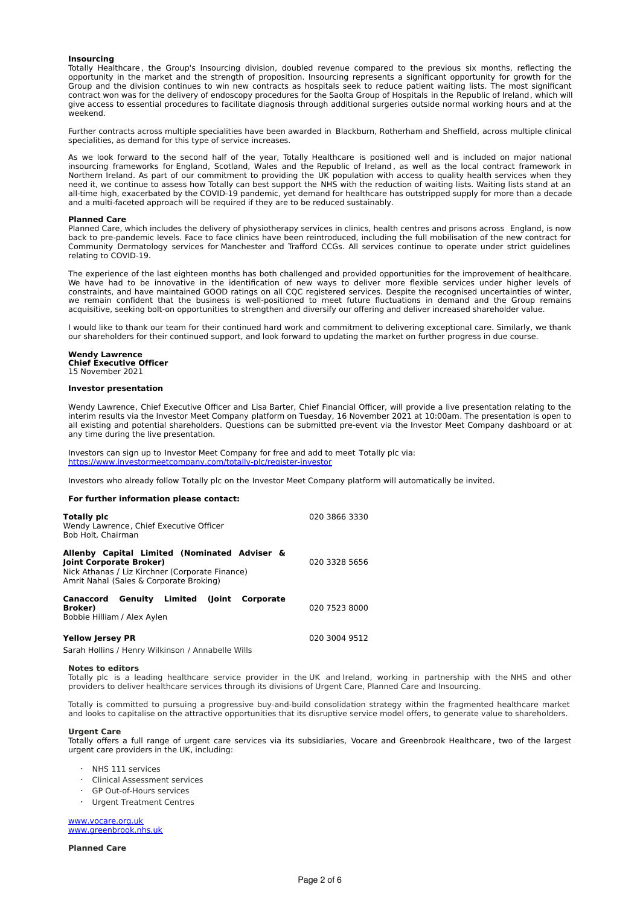## **Insourcing**

Totally Healthcare , the Group's Insourcing division, doubled revenue compared to the previous six months, reflecting the opportunity in the market and the strength of proposition. Insourcing represents a significant opportunity for growth for the Group and the division continues to win new contracts as hospitals seek to reduce patient waiting lists. The most significant contract won was for the delivery of endoscopy procedures for the Saolta Group of Hospitals in the Republic of Ireland, which will give access to essential procedures to facilitate diagnosis through additional surgeries outside normal working hours and at the weekend.

Further contracts across multiple specialities have been awarded in Blackburn, Rotherham and Sheffield, across multiple clinical specialities, as demand for this type of service increases.

As we look forward to the second half of the year, Totally Healthcare is positioned well and is included on major national insourcing frameworks for England, Scotland, Wales and the Republic of Ireland , as well as the local contract framework in Northern Ireland. As part of our commitment to providing the UK population with access to quality health services when they need it, we continue to assess how Totally can best support the NHS with the reduction of waiting lists. Waiting lists stand at an all-time high, exacerbated by the COVID-19 pandemic, yet demand for healthcare has outstripped supply for more than a decade and a multi-faceted approach will be required if they are to be reduced sustainably.

#### **Planned Care**

Planned Care, which includes the delivery of physiotherapy services in clinics, health centres and prisons across England, is now back to pre-pandemic levels. Face to face clinics have been reintroduced, including the full mobilisation of the new contract for Community Dermatology services for Manchester and Trafford CCGs. All services continue to operate under strict guidelines relating to COVID-19.

The experience of the last eighteen months has both challenged and provided opportunities for the improvement of healthcare. We have had to be innovative in the identification of new ways to deliver more flexible services under higher levels of constraints, and have maintained GOOD ratings on all CQC registered services. Despite the recognised uncertainties of winter, we remain confident that the business is well-positioned to meet future fluctuations in demand and the Group remains acquisitive, seeking bolt-on opportunities to strengthen and diversify our offering and deliver increased shareholder value.

I would like to thank our team for their continued hard work and commitment to delivering exceptional care. Similarly, we thank our shareholders for their continued support, and look forward to updating the market on further progress in due course.

# **Wendy Lawrence Chief Executive Officer**

15 November 2021

#### **Investor presentation**

Wendy Lawrence, Chief Executive Officer and Lisa Barter, Chief Financial Officer, will provide a live presentation relating to the interim results via the Investor Meet Company platform on Tuesday, 16 November 2021 at 10:00am. The presentation is open to all existing and potential shareholders. Questions can be submitted pre-event via the Investor Meet Company dashboard or at any time during the live presentation.

Investors can sign up to Investor Meet Company for free and add to meet Totally plc via: <https://www.investormeetcompany.com/totally-plc/register-investor>

Investors who already follow Totally plc on the Investor Meet Company platform will automatically be invited.

## **For further information please contact:**

| Totally pic<br>Wendy Lawrence, Chief Executive Officer<br>Bob Holt, Chairman                                                                                          | 020 3866 3330 |
|-----------------------------------------------------------------------------------------------------------------------------------------------------------------------|---------------|
| Allenby Capital Limited (Nominated Adviser &<br>Joint Corporate Broker)<br>Nick Athanas / Liz Kirchner (Corporate Finance)<br>Amrit Nahal (Sales & Corporate Broking) | 020 3328 5656 |
| Canaccord Genuity Limited (Joint Corporate<br>Broker)<br>Bobbie Hilliam / Alex Aylen                                                                                  | 020 7523 8000 |
| Yellow Jersey PR                                                                                                                                                      | 020 3004 9512 |

Sarah Hollins / Henry Wilkinson / Annabelle Wills

#### **Notes to editors**

Totally plc is a leading healthcare service provider in the UK and Ireland, working in partnership with the NHS and other providers to deliver healthcare services through its divisions of Urgent Care, Planned Care and Insourcing.

Totally is committed to pursuing a progressive buy-and-build consolidation strategy within the fragmented healthcare market and looks to capitalise on the attractive opportunities that its disruptive service model offers, to generate value to shareholders.

#### **Urgent Care**

Totally offers a full range of urgent care services via its subsidiaries, Vocare and Greenbrook Healthcare , two of the largest urgent care providers in the UK, including:

- · NHS 111 services
- · Clinical Assessment services
- GP Out-of-Hours services
- · Urgent Treatment Centres

[www.vocare.org.uk](http://www.vocare.org.uk/) [www.greenbrook.nhs.uk](http://www.greenbrook.nhs.uk/)

**Planned Care**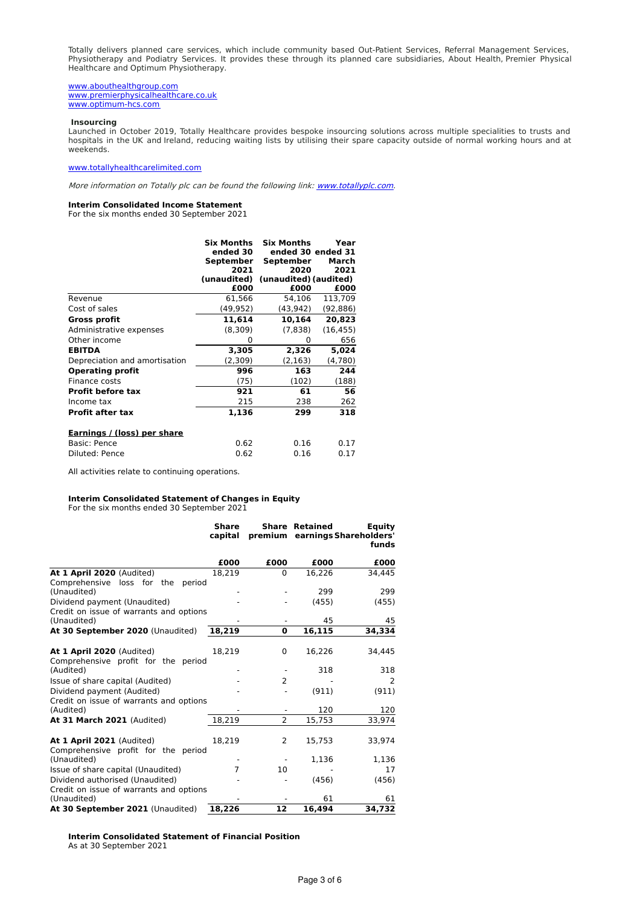Totally delivers planned care services, which include community based Out-Patient Services, Referral Management Services, Physiotherapy and Podiatry Services. It provides these through its planned care subsidiaries, About Health, Premier Physical Healthcare and Optimum Physiotherapy.

[www.abouthealthgroup.com](http://www.abouthealthgroup.com/) [www.premierphysicalhealthcare.co.uk](http://www.premierphysicalhealthcare.co.uk/) [www.optimum-hcs.com](http://www.optimum-hcs.com/)

# **Insourcing**

Launched in October 2019, Totally Healthcare provides bespoke insourcing solutions across multiple specialities to trusts and hospitals in the UK and Ireland, reducing waiting lists by utilising their spare capacity outside of normal working hours and at weekends.

## [www.totallyhealthcarelimited.com](http://www.totallyhealthcarelimited.com/)

More information on Totally plc can be found the following link: [www.totallyplc.com](http://www.totallyplc.com/).

# **Interim Consolidated Income Statement**

For the six months ended 30 September 2021

|                               | <b>Six Months</b><br>ended 30<br>September<br>2021<br>(unaudited) | <b>Six Months</b><br>ended 30 ended 31<br>September<br>2020<br>(unaudited) (audited) | Year<br>March<br>2021 |
|-------------------------------|-------------------------------------------------------------------|--------------------------------------------------------------------------------------|-----------------------|
|                               | £000                                                              | £000                                                                                 | £000                  |
| Revenue                       | 61,566                                                            | 54,106                                                                               | 113,709               |
| Cost of sales                 | (49, 952)                                                         | (43,942)                                                                             | (92,886)              |
| <b>Gross profit</b>           | 11,614                                                            | 10,164                                                                               | 20,823                |
| Administrative expenses       | (8,309)                                                           | (7,838)                                                                              | (16, 455)             |
| Other income                  | 0                                                                 | 0                                                                                    | 656                   |
| <b>EBITDA</b>                 | 3,305                                                             | 2,326                                                                                | 5,024                 |
| Depreciation and amortisation | (2,309)                                                           | (2, 163)                                                                             | (4,780)               |
| <b>Operating profit</b>       | 996                                                               | 163                                                                                  | 244                   |
| Finance costs                 | (75)                                                              | (102)                                                                                | (188)                 |
| <b>Profit before tax</b>      | 921                                                               | 61                                                                                   | 56                    |
| Income tax                    | 215                                                               | 238                                                                                  | 262                   |
| <b>Profit after tax</b>       | 1,136                                                             | 299                                                                                  | 318                   |
| Earnings / (loss) per share   |                                                                   |                                                                                      |                       |
| Basic: Pence                  | 0.62                                                              | 0.16                                                                                 | 0.17                  |
| Diluted: Pence                | 0.62                                                              | 0.16                                                                                 | 0.17                  |

All activities relate to continuing operations.

# **Interim Consolidated Statement of Changes in Equity**

For the six months ended 30 September 2021

|                                                                  | <b>Share</b><br>capital |                | <b>Share Retained</b> | Equity<br>premium earnings Shareholders'<br>funds |
|------------------------------------------------------------------|-------------------------|----------------|-----------------------|---------------------------------------------------|
|                                                                  | £000                    | £000           | £000                  | £000                                              |
| At 1 April 2020 (Audited)                                        | 18,219                  | $\Omega$       | 16,226                | 34,445                                            |
| loss for the<br>Comprehensive<br>period<br>(Unaudited)           |                         |                | 299                   | 299                                               |
| Dividend payment (Unaudited)                                     |                         |                | (455)                 | (455)                                             |
| Credit on issue of warrants and options<br>(Unaudited)           |                         |                | 45                    | 45                                                |
| At 30 September 2020 (Unaudited)                                 | 18,219                  | $\bf{o}$       | 16,115                | 34,334                                            |
|                                                                  |                         |                |                       |                                                   |
| At 1 April 2020 (Audited)                                        | 18,219                  | 0              | 16,226                | 34,445                                            |
| Comprehensive profit for the period<br>(Audited)                 |                         |                | 318                   | 318                                               |
| Issue of share capital (Audited)                                 |                         | $\overline{2}$ |                       | 2                                                 |
| Dividend payment (Audited)                                       |                         |                | (911)                 | (911)                                             |
| Credit on issue of warrants and options<br>(Audited)             |                         |                | 120                   | 120                                               |
| At 31 March 2021 (Audited)                                       | 18.219                  | $\overline{2}$ | 15.753                | 33,974                                            |
| At 1 April 2021 (Audited)<br>Comprehensive profit for the period | 18,219                  | 2              | 15,753                | 33,974                                            |
| (Unaudited)                                                      |                         |                | 1,136                 | 1,136                                             |
| Issue of share capital (Unaudited)                               | 7                       | 10             |                       | 17                                                |
| Dividend authorised (Unaudited)                                  |                         |                | (456)                 | (456)                                             |
| Credit on issue of warrants and options<br>(Unaudited)           |                         |                | 61                    | 61                                                |
| At 30 September 2021 (Unaudited)                                 | 18,226                  | 12             | 16,494                | 34,732                                            |

**Interim Consolidated Statement of Financial Position** As at 30 September 2021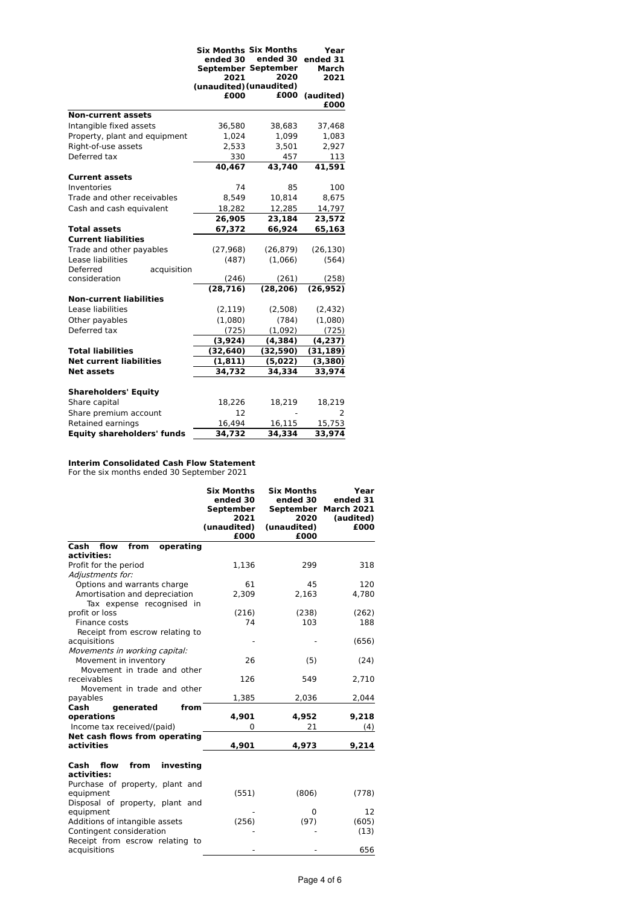|                                   | <b>Six Months Six Months</b><br>ended 30<br>2021<br>(unaudited) (unaudited)<br>£000 | ended 30<br>September September<br>2020<br>£000 | Year<br>ended 31<br>March<br>2021<br>(audited)<br>£000 |
|-----------------------------------|-------------------------------------------------------------------------------------|-------------------------------------------------|--------------------------------------------------------|
| <b>Non-current assets</b>         |                                                                                     |                                                 |                                                        |
| Intangible fixed assets           | 36,580                                                                              | 38,683                                          | 37,468                                                 |
| Property, plant and equipment     | 1,024                                                                               | 1,099                                           | 1,083                                                  |
| Right-of-use assets               | 2,533                                                                               | 3,501                                           | 2,927                                                  |
| Deferred tax                      | 330                                                                                 | 457                                             | 113                                                    |
|                                   | 40.467                                                                              | 43,740                                          | 41,591                                                 |
| <b>Current assets</b>             |                                                                                     |                                                 |                                                        |
| Inventories                       | 74                                                                                  | 85                                              | 100                                                    |
| Trade and other receivables       | 8,549                                                                               | 10,814                                          | 8,675                                                  |
| Cash and cash equivalent          | 18,282                                                                              | 12,285                                          | 14,797                                                 |
|                                   | 26,905                                                                              | 23,184                                          | 23,572                                                 |
| <b>Total assets</b>               | 67,372                                                                              | 66,924                                          | 65,163                                                 |
| <b>Current liabilities</b>        |                                                                                     |                                                 |                                                        |
| Trade and other payables          | (27, 968)                                                                           | (26, 879)                                       | (26, 130)                                              |
| Lease liabilities                 | (487)                                                                               | (1,066)                                         | (564)                                                  |
| Deferred<br>acquisition           |                                                                                     |                                                 |                                                        |
| consideration                     | (246)                                                                               | (261)                                           | (258)                                                  |
|                                   | (28, 716)                                                                           | (28, 206)                                       | (26, 952)                                              |
| <b>Non-current liabilities</b>    |                                                                                     |                                                 |                                                        |
| Lease liabilities                 | (2, 119)                                                                            | (2,508)                                         | (2, 432)                                               |
| Other payables                    | (1,080)                                                                             | (784)                                           | (1,080)                                                |
| Deferred tax                      | (725)                                                                               | (1,092)                                         | (725)                                                  |
| <b>Total liabilities</b>          | (3,924)                                                                             | (4, 384)                                        | (4,237)                                                |
| <b>Net current liabilities</b>    | (32, 640)                                                                           | (32, 590)                                       | (31, 189)                                              |
| <b>Net assets</b>                 | (1, 811)<br>34,732                                                                  | (5,022)<br>34,334                               | (3,380)<br>33,974                                      |
|                                   |                                                                                     |                                                 |                                                        |
| <b>Shareholders' Equity</b>       |                                                                                     |                                                 |                                                        |
| Share capital                     | 18,226                                                                              | 18,219                                          | 18,219                                                 |
| Share premium account             | 12                                                                                  |                                                 | 2                                                      |
| Retained earnings                 | 16,494                                                                              | 16,115                                          | 15,753                                                 |
| <b>Equity shareholders' funds</b> | 34,732                                                                              | 34,334                                          | 33,974                                                 |

#### **Interim Consolidated Cash Flow Statement**

For the six months ended 30 September 2021

|                                                  | <b>Six Months</b><br>ended 30<br>September<br>2021<br>(unaudited)<br>£000 | <b>Six Months</b><br>ended 30<br>September<br>2020<br>(unaudited)<br>£000 | Year<br>ended 31<br><b>March 2021</b><br>(audited)<br>£000 |
|--------------------------------------------------|---------------------------------------------------------------------------|---------------------------------------------------------------------------|------------------------------------------------------------|
| from<br>operating<br>Cash<br>flow                |                                                                           |                                                                           |                                                            |
| activities:<br>Profit for the period             | 1,136                                                                     | 299                                                                       | 318                                                        |
| Adjustments for:                                 |                                                                           |                                                                           |                                                            |
| Options and warrants charge                      | 61                                                                        | 45                                                                        | 120                                                        |
| Amortisation and depreciation                    | 2,309                                                                     | 2,163                                                                     | 4,780                                                      |
| Tax expense recognised in                        |                                                                           |                                                                           |                                                            |
| profit or loss                                   | (216)                                                                     | (238)                                                                     | (262)                                                      |
| Finance costs                                    | 74                                                                        | 103                                                                       | 188                                                        |
| Receipt from escrow relating to                  |                                                                           |                                                                           |                                                            |
| acquisitions                                     |                                                                           |                                                                           | (656)                                                      |
| Movements in working capital:                    |                                                                           |                                                                           |                                                            |
| Movement in inventory                            | 26                                                                        | (5)                                                                       | (24)                                                       |
| Movement in trade and other                      |                                                                           |                                                                           |                                                            |
| receivables                                      | 126                                                                       | 549                                                                       | 2,710                                                      |
| Movement in trade and other                      |                                                                           |                                                                           |                                                            |
| payables<br>Cash<br>generated<br>from            | 1,385                                                                     | 2,036                                                                     | 2,044                                                      |
| operations                                       | 4.901                                                                     | 4,952                                                                     | 9.218                                                      |
| Income tax received/(paid)                       | $\Omega$                                                                  | 21                                                                        | (4)                                                        |
| Net cash flows from operating                    |                                                                           |                                                                           |                                                            |
| activities                                       | 4,901                                                                     | 4,973                                                                     | 9,214                                                      |
| investing<br>from<br>Cash<br>flow<br>activities: |                                                                           |                                                                           |                                                            |
| Purchase of property, plant and                  |                                                                           |                                                                           |                                                            |
| equipment                                        | (551)                                                                     | (806)                                                                     | (778)                                                      |
| Disposal of property, plant and                  |                                                                           |                                                                           |                                                            |
| equipment                                        |                                                                           | 0                                                                         | 12                                                         |
| Additions of intangible assets                   | (256)                                                                     | (97)                                                                      | (605)                                                      |
| Contingent consideration                         |                                                                           |                                                                           | (13)                                                       |
| Receipt from escrow relating to<br>acquisitions  |                                                                           |                                                                           | 656                                                        |
|                                                  |                                                                           |                                                                           |                                                            |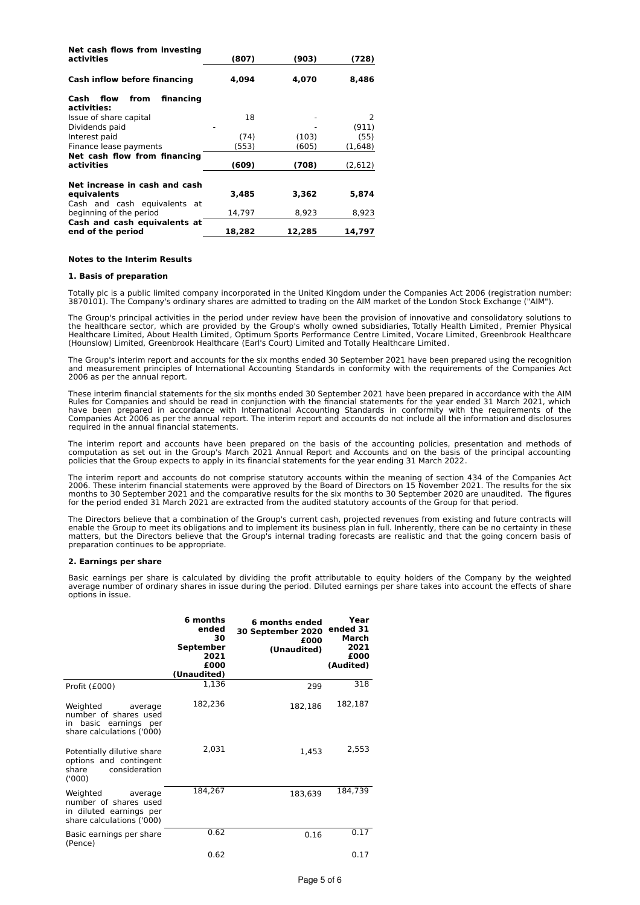| Net cash flows from investing<br>activities             | (807)  | (903)  | (728)   |
|---------------------------------------------------------|--------|--------|---------|
| Cash inflow before financing                            | 4.094  | 4,070  | 8,486   |
| financing<br>from<br>Cash<br>flow<br>activities:        |        |        |         |
| Issue of share capital                                  | 18     |        | 2       |
| Dividends paid                                          |        |        | (911)   |
| Interest paid                                           | (74)   | (103)  | (55)    |
| Finance lease payments                                  | (553)  | (605)  | (1,648) |
| Net cash flow from financing<br>activities              | (609)  | (708)  | (2,612) |
| Net increase in cash and cash                           |        |        |         |
| equivalents                                             | 3,485  | 3,362  | 5,874   |
| Cash and cash equivalents at<br>beginning of the period | 14,797 | 8,923  | 8,923   |
| Cash and cash equivalents at<br>end of the period       | 18,282 | 12,285 | 14,797  |

### **Notes to the Interim Results**

# **1. Basis of preparation**

Totally plc is a public limited company incorporated in the United Kingdom under the Companies Act 2006 (registration number: 3870101). The Company's ordinary shares are admitted to trading on the AIM market of the London Stock Exchange ("AIM").

The Group's principal activities in the period under review have been the provision of innovative and consolidatory solutions to<br>the healthcare sector, which are provided by the Group's wholly owned subsidiaries, Totally H (Hounslow) Limited, Greenbrook Healthcare (Earl's Court) Limited and Totally Healthcare Limited.

The Group's interim report and accounts for the six months ended 30 September 2021 have been prepared using the recognition and measurement principles of International Accounting Standards in conformity with the requirements of the Companies Act 2006 as per the annual report.

These interim financial statements for the six months ended 30 September 2021 have been prepared in accordance with the AIM Rules for Companies and should be read in conjunction with the financial statements for the year ended 31 March 2021, which have been prepared in accordance with International Accounting Standards in conformity with the requirements of the<br>Companies Act 2006 as per the annual report. The interim report and accounts do not include all the inform required in the annual financial statements.

The interim report and accounts have been prepared on the basis of the accounting policies, presentation and methods of computation as set out in the Group's March 2021 Annual Report and Accounts and on the basis of the principal accounting policies that the Group expects to apply in its financial statements for the year ending 31 March 2022.

The interim report and accounts do not comprise statutory accounts within the meaning of section 434 of the Companies Act<br>2006. These interim financial statements were approved by the Board of Directors on 15 November 2021 months to 30 September 2021 and the comparative results for the six months to 30 September 2020 are unaudited. The figures for the period ended 31 March 2021 are extracted from the audited statutory accounts of the Group for that period.

The Directors believe that a combination of the Group's current cash, projected revenues from existing and future contracts will enable the Group to meet its obligations and to implement its business plan in full. Inherently, there can be no certainty in these matters, but the Directors believe that the Group's internal trading forecasts are realistic and that the going concern basis of preparation continues to be appropriate.

## **2. Earnings per share**

Basic earnings per share is calculated by dividing the profit attributable to equity holders of the Company by the weighted<br>average number of ordinary shares in issue during the period. Diluted earnings per share takes int options in issue.

|                                                                                                      | 6 months<br>ended<br>30<br>September<br>2021<br>£000<br>(Unaudited) | 6 months ended<br>30 September 2020<br>£000<br>(Unaudited) | Year<br>ended 31<br>March<br>2021<br>£000<br>(Audited) |
|------------------------------------------------------------------------------------------------------|---------------------------------------------------------------------|------------------------------------------------------------|--------------------------------------------------------|
| Profit (£000)                                                                                        | 1,136                                                               | 299                                                        | 318                                                    |
| Weighted<br>average<br>number of shares used<br>in basic earnings per<br>share calculations ('000)   | 182,236                                                             | 182,186                                                    | 182,187                                                |
| Potentially dilutive share<br>options and contingent<br>consideration<br>share<br>(1000)             | 2,031                                                               | 1,453                                                      | 2,553                                                  |
| Weighted<br>average<br>number of shares used<br>in diluted earnings per<br>share calculations ('000) | 184,267                                                             | 183,639                                                    | 184,739                                                |
| Basic earnings per share<br>(Pence)                                                                  | 0.62                                                                | 0.16                                                       | 0.17                                                   |
|                                                                                                      | 0.62                                                                |                                                            | 0.17                                                   |